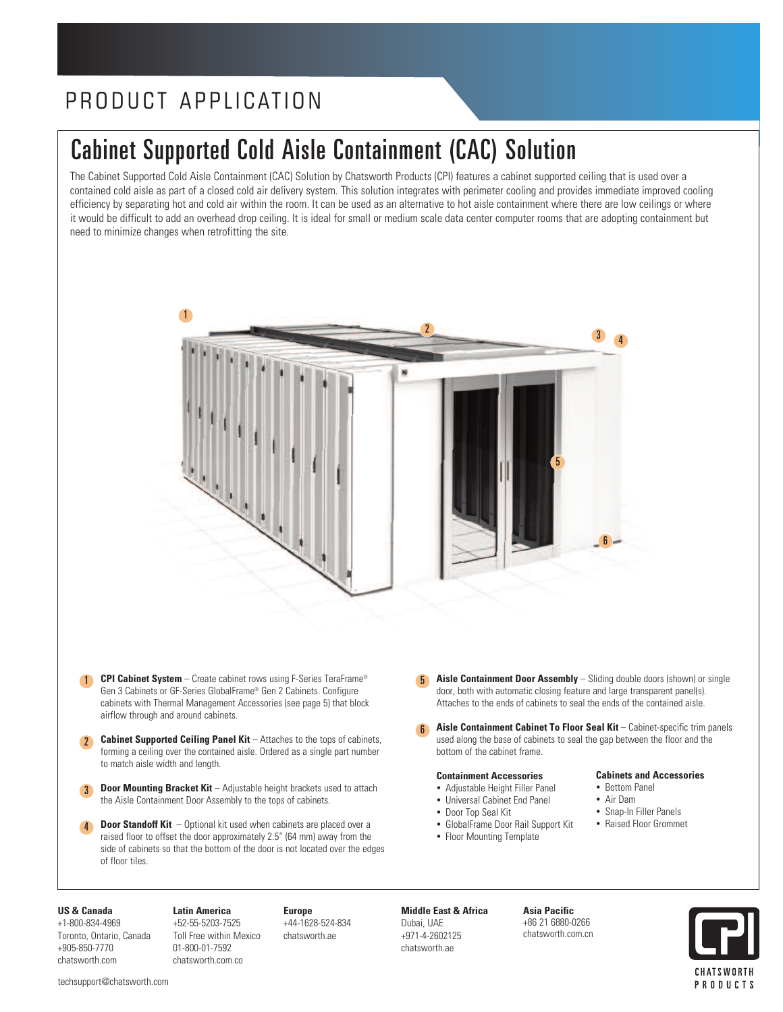# PRODUCT APPLICATION

# Cabinet Supported Cold Aisle Containment (CAC) Solution

The Cabinet Supported Cold Aisle Containment (CAC) Solution by Chatsworth Products (CPI) features a cabinet supported ceiling that is used over a contained cold aisle as part of a closed cold air delivery system. This solution integrates with perimeter cooling and provides immediate improved cooling efficiency by separating hot and cold air within the room. It can be used as an alternative to hot aisle containment where there are low ceilings or where it would be difficult to add an overhead drop ceiling. It is ideal for small or medium scale data center computer rooms that are adopting containment but need to minimize changes when retrofitting the site.



- 1 **CPI Cabinet System** Create cabinet rows using F-Series TeraFrame® Gen 3 Cabinets or GF-Series GlobalFrame® Gen 2 Cabinets. Configure cabinets with Thermal Management Accessories (see page 5) that block airflow through and around cabinets.
- 2 **Cabinet Supported Ceiling Panel Kit** – Attaches to the tops of cabinets, forming a ceiling over the contained aisle. Ordered as a single part number to match aisle width and length.
- 3 **Door Mounting Bracket Kit** – Adjustable height brackets used to attach the Aisle Containment Door Assembly to the tops of cabinets.
- 4 **Door Standoff Kit** – Optional kit used when cabinets are placed over a raised floor to offset the door approximately 2.5" (64 mm) away from the side of cabinets so that the bottom of the door is not located over the edges of floor tiles.
- 5 **Aisle Containment Door Assembly** Sliding double doors (shown) or single door, both with automatic closing feature and large transparent panel(s). Attaches to the ends of cabinets to seal the ends of the contained aisle.
- **Aisle Containment Cabinet To Floor Seal Kit** Cabinet-specific trim panels used along the base of cabinets to seal the gap between the floor and the bottom of the cabinet frame. 6

#### **Containment Accessories**

- Adjustable Height Filler Panel
- Universal Cabinet End Panel
- Door Top Seal Kit
- GlobalFrame Door Rail Support Kit
- Floor Mounting Template

#### **Cabinets and Accessories**

- Bottom Panel
- Air Dam
- Snap-In Filler Panels
- Raised Floor Grommet

#### **US & Canada**

+1-800-834-4969 Toronto, Ontario, Canada +905-850-7770 chatsworth.com

**Latin America** +52-55-5203-7525 Toll Free within Mexico 01-800-01-7592 chatsworth.com.co

**Europe** +44-1628-524-834 chatsworth.ae

# **Middle East & Africa**

Dubai, UAE +971-4-2602125 chatsworth.ae

**Asia Pacific** +86 21 6880-0266 chatsworth.com.cn

CHATSWORTH PRODUCTS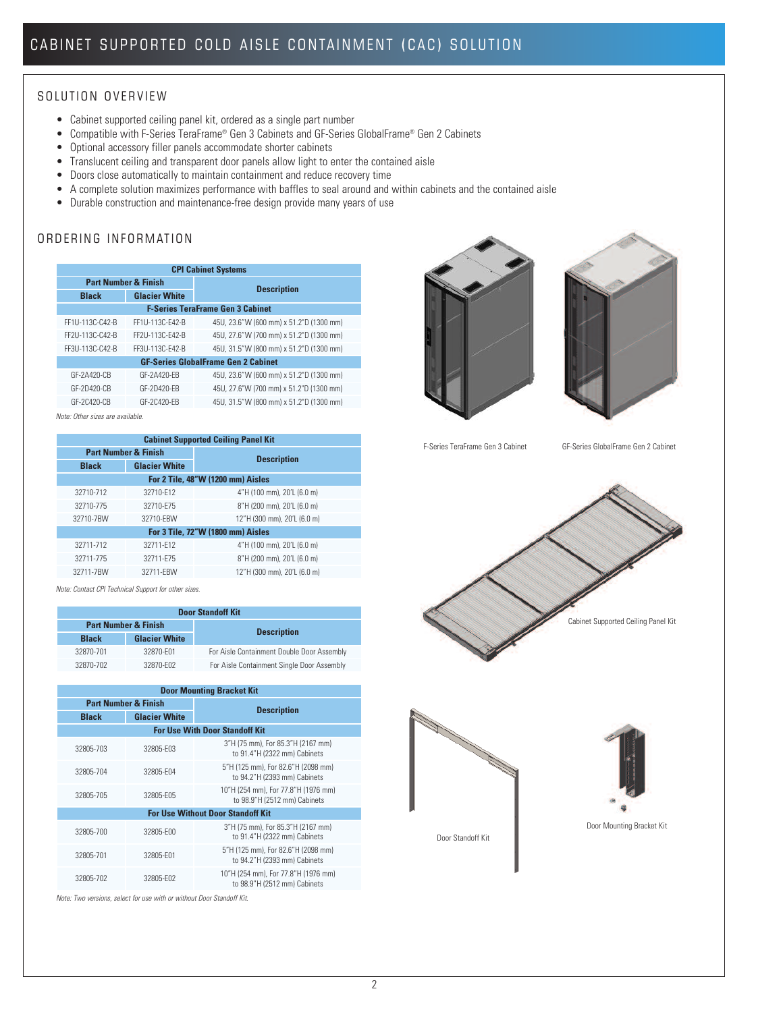### SOLUTION OVERVIEW

- Cabinet supported ceiling panel kit, ordered as a single part number
- Compatible with F-Series TeraFrame® Gen 3 Cabinets and GF-Series GlobalFrame® Gen 2 Cabinets
- Optional accessory filler panels accommodate shorter cabinets
- Translucent ceiling and transparent door panels allow light to enter the contained aisle
- Doors close automatically to maintain containment and reduce recovery time
- A complete solution maximizes performance with baffles to seal around and within cabinets and the contained aisle
- Durable construction and maintenance-free design provide many years of use

# ORDERING INFORMATION

| <b>CPI Cabinet Systems</b>                 |                      |                                         |  |
|--------------------------------------------|----------------------|-----------------------------------------|--|
| <b>Part Number &amp; Finish</b>            |                      | <b>Description</b>                      |  |
| <b>Black</b>                               | <b>Glacier White</b> |                                         |  |
|                                            |                      | <b>F-Series TeraFrame Gen 3 Cabinet</b> |  |
| FF1U-113C-C42-B                            | FF1U-113C-F42-B      | 45U, 23.6"W (600 mm) x 51.2"D (1300 mm) |  |
| FF2U-113C-C42-B                            | FF2U-113C-F42-B      | 45U, 27.6"W (700 mm) x 51.2"D (1300 mm) |  |
| FF3U-113C-C42-B                            | FF3U-113C-F42-B      | 45U, 31.5"W (800 mm) x 51.2"D (1300 mm) |  |
| <b>GF-Series GlobalFrame Gen 2 Cabinet</b> |                      |                                         |  |
| GF-2A420-CB                                | GF-2A420-FB          | 45U, 23.6"W (600 mm) x 51.2"D (1300 mm) |  |
| GF-2D420-CB                                | GF-2D420-FB          | 45U, 27.6"W (700 mm) x 51.2"D (1300 mm) |  |
| GF-2C420-CB                                | GF-20420-FR          | 45U, 31.5"W (800 mm) x 51.2"D (1300 mm) |  |

*Note: Other sizes are available.*

| <b>Cabinet Supported Ceiling Panel Kit</b> |                                   |                             |  |  |
|--------------------------------------------|-----------------------------------|-----------------------------|--|--|
|                                            | <b>Part Number &amp; Finish</b>   | <b>Description</b>          |  |  |
| <b>Black</b>                               | <b>Glacier White</b>              |                             |  |  |
|                                            | For 2 Tile, 48"W (1200 mm) Aisles |                             |  |  |
| 32710-712                                  | 32710-F12                         | 4"H (100 mm), 20'L (6.0 m)  |  |  |
| 32710-775                                  | 32710-F75                         | 8"H (200 mm), 20'L (6.0 m)  |  |  |
| 32710-7BW                                  | 32710-FBW                         | 12"H (300 mm), 20'L (6.0 m) |  |  |
| For 3 Tile, 72"W (1800 mm) Aisles          |                                   |                             |  |  |
| 32711-712                                  | 32711-F12                         | 4"H (100 mm), 20'L (6.0 m)  |  |  |
| 32711-775                                  | 32711-F75                         | 8"H (200 mm), 20'L (6.0 m)  |  |  |
| 32711-7BW                                  | 32711-FBW                         | 12"H (300 mm), 20'L (6.0 m) |  |  |
|                                            |                                   |                             |  |  |

*Note: Contact CPI Technical Support for other sizes.*

| <b>Door Standoff Kit</b>        |                      |                                            |  |
|---------------------------------|----------------------|--------------------------------------------|--|
| <b>Part Number &amp; Finish</b> |                      |                                            |  |
| <b>Black</b>                    | <b>Glacier White</b> | <b>Description</b>                         |  |
| 32870-701                       | 32870-F01            | For Aisle Containment Double Door Assembly |  |
| 32870-702                       | 32870-F02            | For Aisle Containment Single Door Assembly |  |

| <b>Door Mounting Bracket Kit</b>         |                      |                                                                     |  |
|------------------------------------------|----------------------|---------------------------------------------------------------------|--|
| <b>Part Number &amp; Finish</b>          |                      |                                                                     |  |
| <b>Black</b>                             | <b>Glacier White</b> | <b>Description</b>                                                  |  |
|                                          |                      | <b>For Use With Door Standoff Kit</b>                               |  |
| 32805-703                                | 32805-F03            | 3"H (75 mm), For 85.3"H (2167 mm)<br>to 91.4"H (2322 mm) Cabinets   |  |
| 32805-704                                | 32805-F04            | 5"H (125 mm), For 82.6"H (2098 mm)<br>to 94.2"H (2393 mm) Cabinets  |  |
| 32805-705                                | 32805-F05            | 10"H (254 mm), For 77.8"H (1976 mm)<br>to 98.9"H (2512 mm) Cabinets |  |
| <b>For Use Without Door Standoff Kit</b> |                      |                                                                     |  |
| 32805-700                                | 32805-F00            | 3"H (75 mm), For 85.3"H (2167 mm)<br>to 91.4"H (2322 mm) Cabinets   |  |
| 32805-701                                | 32805-F01            | 5"H (125 mm), For 82.6"H (2098 mm)<br>to 94.2"H (2393 mm) Cabinets  |  |
| 32805-702                                | 32805-F02            | 10"H (254 mm), For 77.8"H (1976 mm)<br>to 98.9"H (2512 mm) Cabinets |  |

*Note: Two versions, select for use with or without Door Standoff Kit.*





F-Series TeraFrame Gen 3 Cabinet GF-Series GlobalFrame Gen 2 Cabinet







Door Mounting Bracket Kit

Door Standoff Kit

2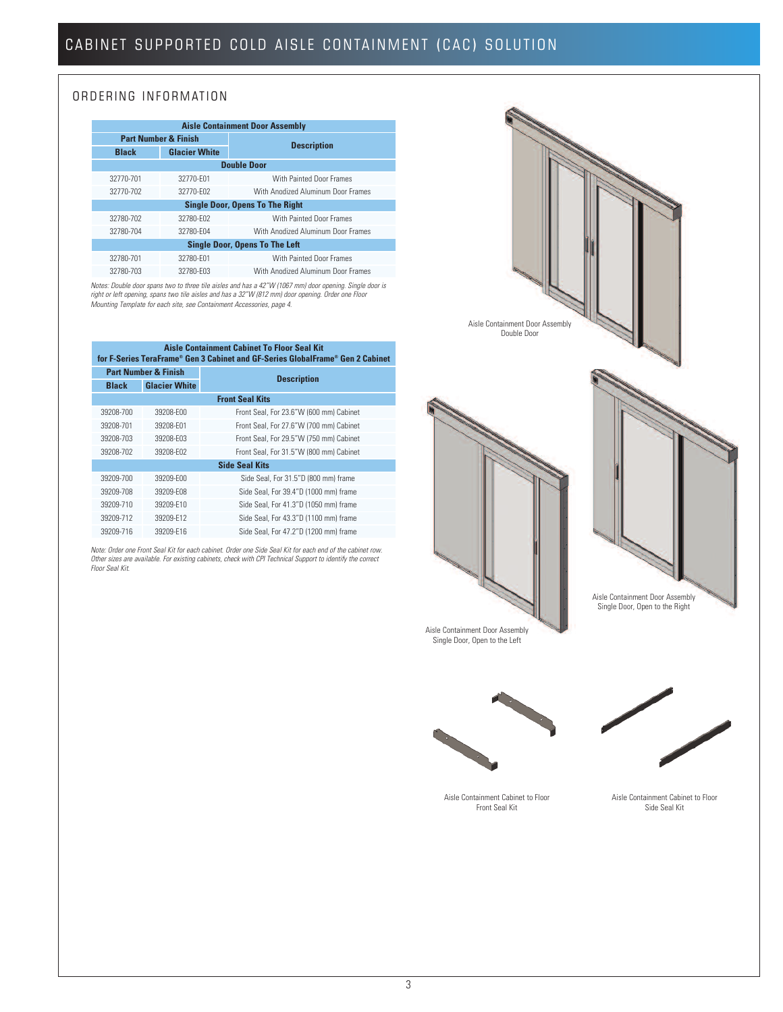## ORDERING INFORMATION

| <b>Aisle Containment Door Assembly</b> |                                 |                                       |  |  |
|----------------------------------------|---------------------------------|---------------------------------------|--|--|
|                                        | <b>Part Number &amp; Finish</b> | <b>Description</b>                    |  |  |
| <b>Black</b>                           | <b>Glacier White</b>            |                                       |  |  |
|                                        |                                 | <b>Double Door</b>                    |  |  |
| 32770-701                              | 32770-F01                       | With Painted Door Frames              |  |  |
| 32770-702                              | 32770-F02                       | With Anodized Aluminum Door Frames    |  |  |
| <b>Single Door, Opens To The Right</b> |                                 |                                       |  |  |
| 32780-702                              | 32780-F02                       | With Painted Door Frames              |  |  |
| 32780-704                              | 32780-F04                       | With Anodized Aluminum Door Frames    |  |  |
|                                        |                                 | <b>Single Door, Opens To The Left</b> |  |  |
| 32780-701                              | 32780-F01                       | With Painted Door Frames              |  |  |
| 32780-703                              | 32780-F03                       | With Anodized Aluminum Door Frames    |  |  |

Notes: Double door spans two to three tile aisles and has a 42″W (1067 mm) door opening. Single door is<br>right or left opening, spans two tile aisles and has a 32″W (812 mm) door opening. Order one Floor *Mounting Template for each site, see Containment Accessories, page 4.*

| <b>Aisle Containment Cabinet To Floor Seal Kit</b><br>for F-Series TeraFrame® Gen 3 Cabinet and GF-Series GlobalFrame® Gen 2 Cabinet |                                 |                                         |  |  |
|--------------------------------------------------------------------------------------------------------------------------------------|---------------------------------|-----------------------------------------|--|--|
|                                                                                                                                      | <b>Part Number &amp; Finish</b> | <b>Description</b>                      |  |  |
| <b>Black</b>                                                                                                                         | <b>Glacier White</b>            |                                         |  |  |
|                                                                                                                                      |                                 | <b>Front Seal Kits</b>                  |  |  |
| 39208-700                                                                                                                            | 39208-F00                       | Front Seal, For 23.6"W (600 mm) Cabinet |  |  |
| 39208-701                                                                                                                            | 39208-F01                       | Front Seal, For 27.6"W (700 mm) Cabinet |  |  |
| 39208-703                                                                                                                            | 39208-F03                       | Front Seal, For 29.5"W (750 mm) Cabinet |  |  |
| 39208-702                                                                                                                            | 39208-F02                       | Front Seal, For 31.5"W (800 mm) Cabinet |  |  |
|                                                                                                                                      |                                 | <b>Side Seal Kits</b>                   |  |  |
| 39209-700                                                                                                                            | 39209-E00                       | Side Seal, For 31.5"D (800 mm) frame    |  |  |
| 39209-708                                                                                                                            | 39209-F08                       | Side Seal, For 39.4"D (1000 mm) frame   |  |  |
| 39209-710                                                                                                                            | 39209-F10                       | Side Seal, For 41.3"D (1050 mm) frame   |  |  |
| 39209-712                                                                                                                            | 39209-F12                       | Side Seal, For 43.3"D (1100 mm) frame   |  |  |
| 39209-716                                                                                                                            | 39209-F16                       | Side Seal, For 47.2"D (1200 mm) frame   |  |  |
|                                                                                                                                      |                                 |                                         |  |  |

Note: Order one Front Seal Kit for each cabinet. Order one Side Seal Kit for each end of the cabinet row. *Other sizes are available. For existing cabinets, check with CPI Technical Support to identify the correct Floor Seal Kit.*

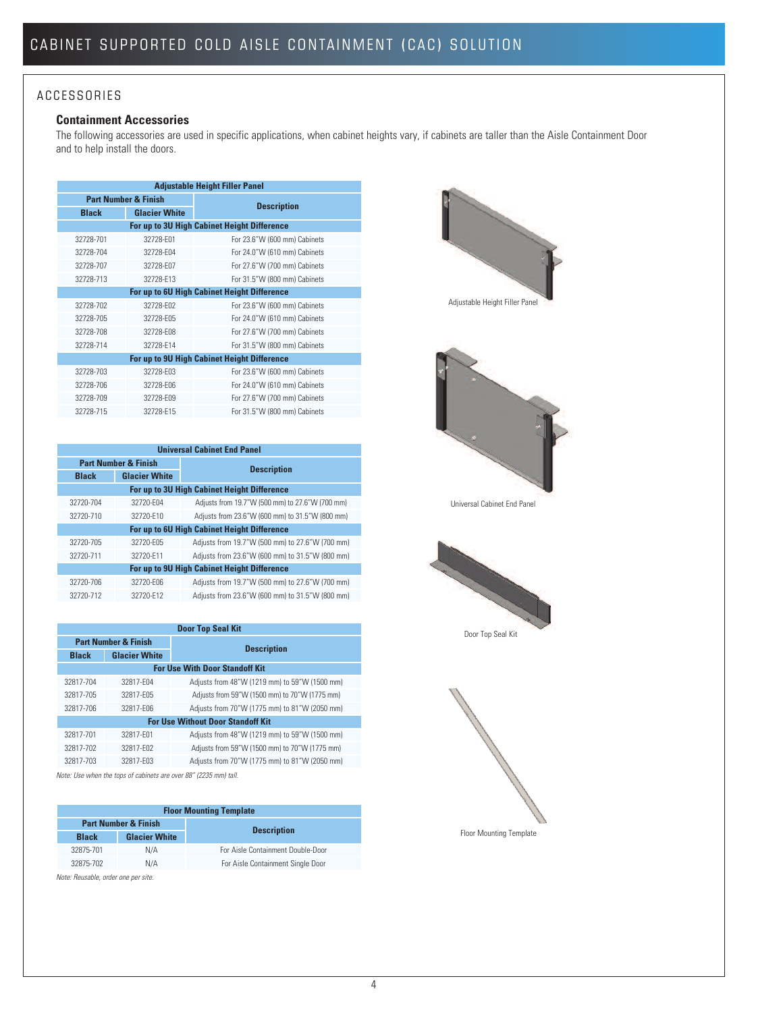# A C C E S S O R I E S

# **Containment Accessories**

The following accessories are used in specific applications, when cabinet heights vary, if cabinets are taller than the Aisle Containment Door and to help install the doors.

| <b>Adjustable Height Filler Panel</b> |                      |                                             |  |
|---------------------------------------|----------------------|---------------------------------------------|--|
| <b>Part Number &amp; Finish</b>       |                      | <b>Description</b>                          |  |
| <b>Black</b>                          | <b>Glacier White</b> |                                             |  |
|                                       |                      | For up to 3U High Cabinet Height Difference |  |
| 32728-701                             | 32728-F01            | For 23.6"W (600 mm) Cabinets                |  |
| 32728-704                             | 32728-F04            | For 24.0"W (610 mm) Cabinets                |  |
| 32728-707                             | 32728-F07            | For 27.6"W (700 mm) Cabinets                |  |
| 32728-713                             | 32728-F13            | For 31.5"W (800 mm) Cabinets                |  |
|                                       |                      | For up to 6U High Cabinet Height Difference |  |
| 32728-702                             | 32728-F02            | For 23.6"W (600 mm) Cabinets                |  |
| 32728-705                             | 32728-F05            | For 24.0"W (610 mm) Cabinets                |  |
| 32728-708                             | 32728-F08            | For 27.6"W (700 mm) Cabinets                |  |
| 32728-714                             | 32728-F14            | For 31.5"W (800 mm) Cabinets                |  |
|                                       |                      | For up to 9U High Cabinet Height Difference |  |
| 32728-703                             | 32728-F03            | For 23.6"W (600 mm) Cabinets                |  |
| 32728-706                             | 32728-F06            | For 24.0"W (610 mm) Cabinets                |  |
| 32728-709                             | 32728-F09            | For 27.6"W (700 mm) Cabinets                |  |
| 32728-715                             | 32728-F15            | For 31.5"W (800 mm) Cabinets                |  |

| <b>Universal Cabinet End Panel</b>          |                      |                                                 |  |
|---------------------------------------------|----------------------|-------------------------------------------------|--|
| <b>Part Number &amp; Finish</b>             |                      |                                                 |  |
| <b>Black</b>                                | <b>Glacier White</b> | <b>Description</b>                              |  |
| For up to 3U High Cabinet Height Difference |                      |                                                 |  |
| 32720-704                                   | 32720-F04            | Adjusts from 19.7"W (500 mm) to 27.6"W (700 mm) |  |
| 32720-710                                   | 32720-F10            | Adjusts from 23.6"W (600 mm) to 31.5"W (800 mm) |  |
| For up to 6U High Cabinet Height Difference |                      |                                                 |  |
| 32720-705                                   | 32720-F05            | Adjusts from 19.7"W (500 mm) to 27.6"W (700 mm) |  |
| 32720-711                                   | 32720-F11            | Adjusts from 23.6"W (600 mm) to 31.5"W (800 mm) |  |
| For up to 9U High Cabinet Height Difference |                      |                                                 |  |
| 32720-706                                   | 32720-F06            | Adjusts from 19.7"W (500 mm) to 27.6"W (700 mm) |  |
| 32720-712                                   | 32720-F12            | Adjusts from 23.6"W (600 mm) to 31.5"W (800 mm) |  |
|                                             |                      |                                                 |  |

| <b>Door Top Seal Kit</b>                                         |                      |                                               |  |
|------------------------------------------------------------------|----------------------|-----------------------------------------------|--|
| <b>Part Number &amp; Finish</b>                                  |                      |                                               |  |
| <b>Black</b>                                                     | <b>Glacier White</b> | <b>Description</b>                            |  |
|                                                                  |                      | <b>For Use With Door Standoff Kit</b>         |  |
| 32817-704                                                        | 32817-F04            | Adjusts from 48"W (1219 mm) to 59"W (1500 mm) |  |
| 32817-705                                                        | 32817-F05            | Adjusts from 59"W (1500 mm) to 70"W (1775 mm) |  |
| 32817-706                                                        | 32817-F06            | Adjusts from 70"W (1775 mm) to 81"W (2050 mm) |  |
| <b>For Use Without Door Standoff Kit</b>                         |                      |                                               |  |
| 32817-701                                                        | 32817-F01            | Adjusts from 48"W (1219 mm) to 59"W (1500 mm) |  |
| 32817-702                                                        | 32817-F02            | Adjusts from 59"W (1500 mm) to 70"W (1775 mm) |  |
| 32817-703                                                        | 32817-F03            | Adjusts from 70"W (1775 mm) to 81"W (2050 mm) |  |
| Note: Use when the tops of cabinets are over 88" (2235 mm) tall. |                      |                                               |  |

| <b>Floor Mounting Template</b>  |                      |                                   |  |
|---------------------------------|----------------------|-----------------------------------|--|
| <b>Part Number &amp; Finish</b> |                      |                                   |  |
| <b>Black</b>                    | <b>Glacier White</b> | <b>Description</b>                |  |
| 32875-701                       | N/A                  | For Aisle Containment Double-Door |  |
| 32875-702                       | N/A                  | For Aisle Containment Single Door |  |
|                                 |                      |                                   |  |

*Note: Reusable, order one per site.*



Adjustable Height Filler Panel



Universal Cabinet End Panel



Door Top Seal Kit

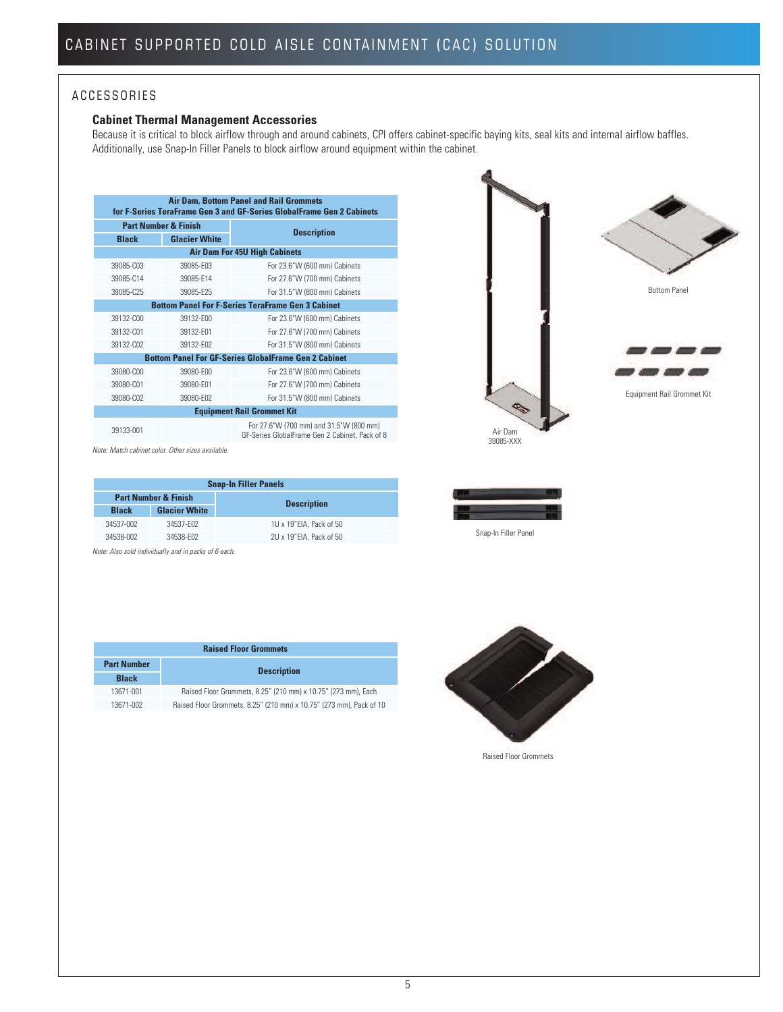### A C C E S SORIES

### **Cabinet Thermal Management Accessories**

Because it is critical to block airflow through and around cabinets, CPI offers cabinet-specific baying kits, seal kits and internal airflow baffles. Additionally, use Snap-In Filler Panels to block airflow around equipment within the cabinet.

| <b>Air Dam, Bottom Panel and Rail Grommets</b><br>for F-Series TeraFrame Gen 3 and GF-Series GlobalFrame Gen 2 Cabinets |                      |                                                                                           |  |  |
|-------------------------------------------------------------------------------------------------------------------------|----------------------|-------------------------------------------------------------------------------------------|--|--|
| <b>Part Number &amp; Finish</b>                                                                                         |                      | <b>Description</b>                                                                        |  |  |
| <b>Black</b>                                                                                                            | <b>Glacier White</b> |                                                                                           |  |  |
|                                                                                                                         |                      | <b>Air Dam For 45U High Cabinets</b>                                                      |  |  |
| 39085-C03                                                                                                               | 39085-F03            | For 23.6"W (600 mm) Cabinets                                                              |  |  |
| 39085-C14                                                                                                               | 39085-F14            | For 27.6"W (700 mm) Cabinets                                                              |  |  |
| 39085-C25                                                                                                               | 39085-F25            | For 31.5"W (800 mm) Cabinets                                                              |  |  |
|                                                                                                                         |                      | <b>Bottom Panel For F-Series TeraFrame Gen 3 Cabinet</b>                                  |  |  |
| 39132-C00                                                                                                               | 39132-F00            | For 23.6"W (600 mm) Cabinets                                                              |  |  |
| 39132-C01                                                                                                               | 39132-F01            | For 27.6"W (700 mm) Cabinets                                                              |  |  |
| 39132-C02                                                                                                               | 39132-F02            | For 31.5"W (800 mm) Cabinets                                                              |  |  |
|                                                                                                                         |                      | <b>Bottom Panel For GF-Series GlobalFrame Gen 2 Cabinet</b>                               |  |  |
| 39080-C00                                                                                                               | 39080-F00            | For 23.6"W (600 mm) Cabinets                                                              |  |  |
| 39080-C01                                                                                                               | 39080-F01            | For 27.6"W (700 mm) Cabinets                                                              |  |  |
| 39080-C02                                                                                                               | 39080-F02            | For 31.5"W (800 mm) Cabinets                                                              |  |  |
|                                                                                                                         |                      | <b>Equipment Rail Grommet Kit</b>                                                         |  |  |
| 39133-001                                                                                                               |                      | For 27.6"W (700 mm) and 31.5"W (800 mm)<br>GF-Series GlobalFrame Gen 2 Cabinet, Pack of 8 |  |  |



*Note: Match cabinet color. Other sizes available.*

| <b>Snap-In Filler Panels</b>    |                      |                         |  |
|---------------------------------|----------------------|-------------------------|--|
| <b>Part Number &amp; Finish</b> |                      |                         |  |
| <b>Black</b>                    | <b>Glacier White</b> | <b>Description</b>      |  |
| 34537-002                       | 34537-F02            | 1U x 19"EIA, Pack of 50 |  |
| 34538-002                       | 34538-F02            | 2U x 19"EIA. Pack of 50 |  |

*Note: Also sold individually and in packs of 6 each.*



Snap-In Filler Panel

| <b>Raised Floor Grommets</b> |                                                                     |  |
|------------------------------|---------------------------------------------------------------------|--|
| <b>Part Number</b>           | <b>Description</b>                                                  |  |
| <b>Black</b>                 |                                                                     |  |
| 13671-001                    | Raised Floor Grommets, 8.25" (210 mm) x 10.75" (273 mm), Each       |  |
| 13671-002                    | Raised Floor Grommets, 8.25" (210 mm) x 10.75" (273 mm), Pack of 10 |  |



Raised Floor Grommets